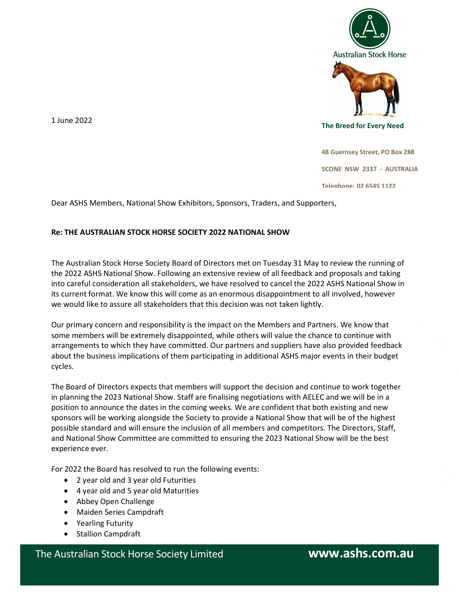

The Breed for Every Need

1 June 2022

48 Guernsey Street, PO Box 288

SCONE NSW 2337 - AUSTRALIA

Telephone: 02 6545 1122

Dear ASHS Members, National Show Exhibitors, Sponsors, Traders, and Supporters,

## Re: THE AUSTRALIAN STOCK HORSE SOCIETY 2022 NATIONAL SHOW

The Australian Stock Horse Society Board of Directors met on Tuesday 31 May to review the running of the 2022 ASHS National Show. Following an extensive review of all feedback and proposals and taking into careful consideration all stakeholders, we have resolved to cancel the 2022 ASHS National Show in its current format. We know this will come as an enormous disappointment to all involved, however we would like to assure all stakeholders that this decision was not taken lightly.

Our primary concern and responsibility is the impact on the Members and Partners. We know that some members will be extremely disappointed, while others will value the chance to continue with arrangements to which they have committed. Our partners and suppliers have also provided feedback about the business implications of them participating in additional ASHS major events in their budget cycles.

The Board of Directors expects that members will support the decision and continue to work together in planning the 2023 National Show. Staff are finalising negotiations with AELEC and we will be in a position to announce the dates in the coming weeks. We are confident that both existing and new sponsors will be working alongside the Society to provide a National Show that will be of the highest possible standard and will ensure the inclusion of all members and competitors. The Directors, Staff, and National Show Committee are committed to ensuring the 2023 National Show will be the best experience ever.

For 2022 the Board has resolved to run the following events:

- 2 year old and 3 year old Futurities
- 4 year old and 5 year old Maturities
- Abbey Open Challenge
- Maiden Series Campdraft
- Yearling Futurity
- Stallion Campdraft

The Australian Stock Horse Society Limited **www.ashs.com.au**